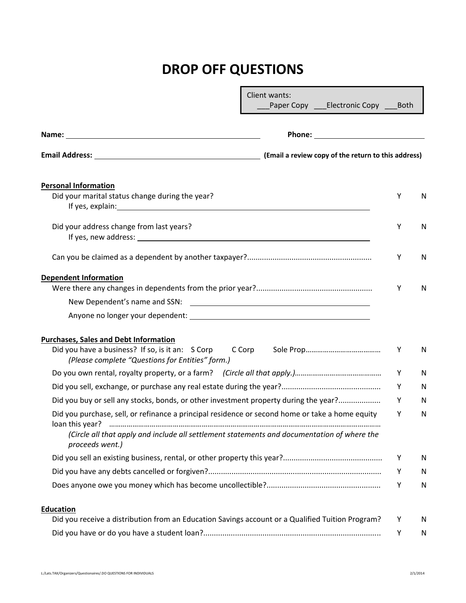## **DROP OFF QUESTIONS**

|                                                                                                                                                                                                                                                                                   | Client wants: | Paper Copy ___Electronic Copy _ | <b>Both</b> |    |
|-----------------------------------------------------------------------------------------------------------------------------------------------------------------------------------------------------------------------------------------------------------------------------------|---------------|---------------------------------|-------------|----|
|                                                                                                                                                                                                                                                                                   |               |                                 |             |    |
|                                                                                                                                                                                                                                                                                   |               |                                 |             |    |
| <b>Personal Information</b>                                                                                                                                                                                                                                                       |               |                                 |             |    |
| Did your marital status change during the year?<br>If yes, explain: The same state of the state of the state of the state of the state of the state of the state of the state of the state of the state of the state of the state of the state of the state of the state of the s |               |                                 | Υ           | N  |
| Did your address change from last years?<br>If yes, new address: and the state of the state of the state of the state of the state of the state of the state of the state of the state of the state of the state of the state of the state of the state of the state of th        |               |                                 | Y           | N  |
|                                                                                                                                                                                                                                                                                   |               |                                 | Υ           | N  |
| <b>Dependent Information</b>                                                                                                                                                                                                                                                      |               |                                 | Υ           | N  |
| New Dependent's name and SSN:                                                                                                                                                                                                                                                     |               |                                 |             |    |
| <b>Purchases, Sales and Debt Information</b><br>Did you have a business? If so, is it an: S Corp<br>(Please complete "Questions for Entities" form.)                                                                                                                              | C Corp        |                                 | Υ           | N  |
|                                                                                                                                                                                                                                                                                   |               |                                 | Y           | N  |
|                                                                                                                                                                                                                                                                                   |               |                                 | Y           | N  |
| Did you buy or sell any stocks, bonds, or other investment property during the year?                                                                                                                                                                                              |               |                                 | Y           | N  |
| Did you purchase, sell, or refinance a principal residence or second home or take a home equity<br>(Circle all that apply and include all settlement statements and documentation of where the<br>proceeds went.)                                                                 |               |                                 | Y           | N  |
|                                                                                                                                                                                                                                                                                   |               |                                 | Y           | N  |
|                                                                                                                                                                                                                                                                                   |               |                                 | Y           | N  |
|                                                                                                                                                                                                                                                                                   |               |                                 | Υ           | N  |
| Education                                                                                                                                                                                                                                                                         |               |                                 |             |    |
| Did you receive a distribution from an Education Savings account or a Qualified Tuition Program?                                                                                                                                                                                  |               |                                 | Υ           | N. |
|                                                                                                                                                                                                                                                                                   |               |                                 | Υ           | N  |